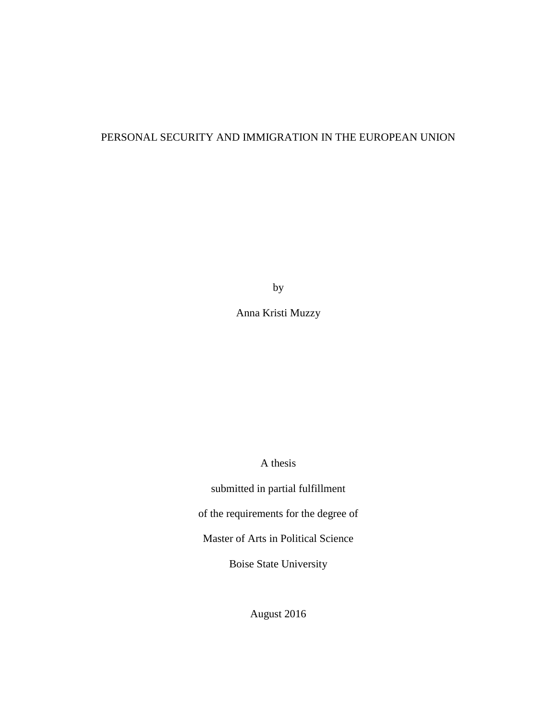### PERSONAL SECURITY AND IMMIGRATION IN THE EUROPEAN UNION

by

Anna Kristi Muzzy

A thesis

submitted in partial fulfillment of the requirements for the degree of Master of Arts in Political Science

Boise State University

August 2016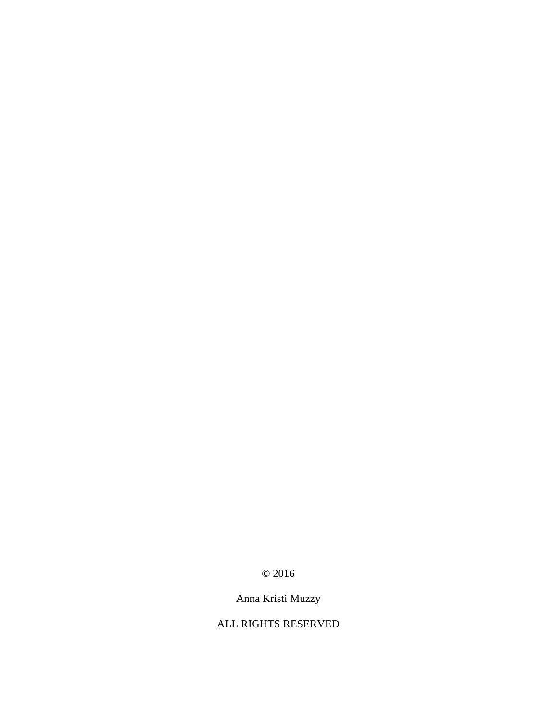### © 2016

# Anna Kristi Muzzy

### ALL RIGHTS RESERVED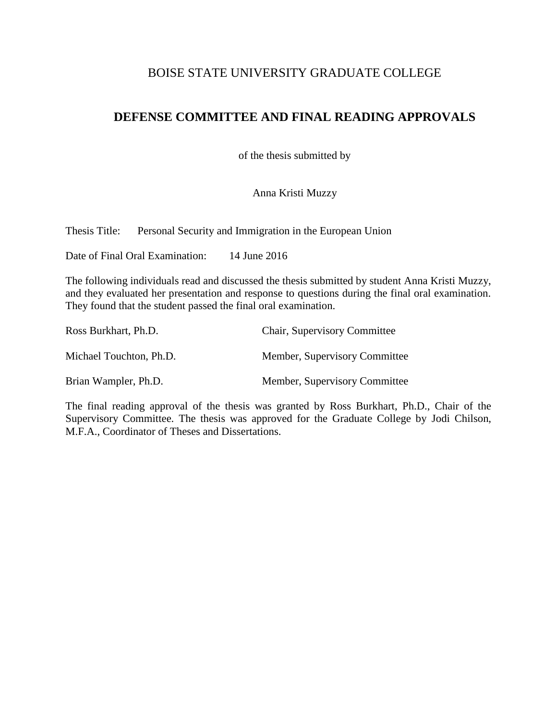### BOISE STATE UNIVERSITY GRADUATE COLLEGE

## **DEFENSE COMMITTEE AND FINAL READING APPROVALS**

of the thesis submitted by

Anna Kristi Muzzy

Thesis Title: Personal Security and Immigration in the European Union

Date of Final Oral Examination: 14 June 2016

The following individuals read and discussed the thesis submitted by student Anna Kristi Muzzy, and they evaluated her presentation and response to questions during the final oral examination. They found that the student passed the final oral examination.

| Ross Burkhart, Ph.D.    | <b>Chair, Supervisory Committee</b> |
|-------------------------|-------------------------------------|
| Michael Touchton, Ph.D. | Member, Supervisory Committee       |
| Brian Wampler, Ph.D.    | Member, Supervisory Committee       |

The final reading approval of the thesis was granted by Ross Burkhart, Ph.D., Chair of the Supervisory Committee. The thesis was approved for the Graduate College by Jodi Chilson, M.F.A., Coordinator of Theses and Dissertations.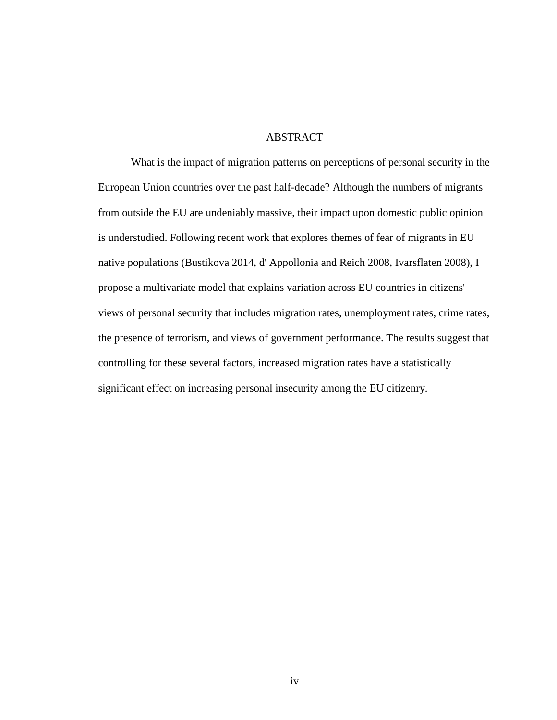#### **ABSTRACT**

<span id="page-3-0"></span>What is the impact of migration patterns on perceptions of personal security in the European Union countries over the past half-decade? Although the numbers of migrants from outside the EU are undeniably massive, their impact upon domestic public opinion is understudied. Following recent work that explores themes of fear of migrants in EU native populations (Bustikova 2014, d' Appollonia and Reich 2008, Ivarsflaten 2008), I propose a multivariate model that explains variation across EU countries in citizens' views of personal security that includes migration rates, unemployment rates, crime rates, the presence of terrorism, and views of government performance. The results suggest that controlling for these several factors, increased migration rates have a statistically significant effect on increasing personal insecurity among the EU citizenry.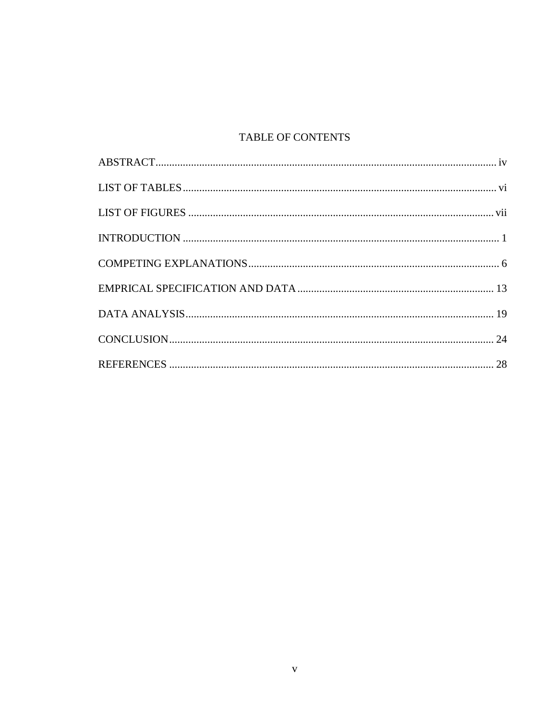### TABLE OF CONTENTS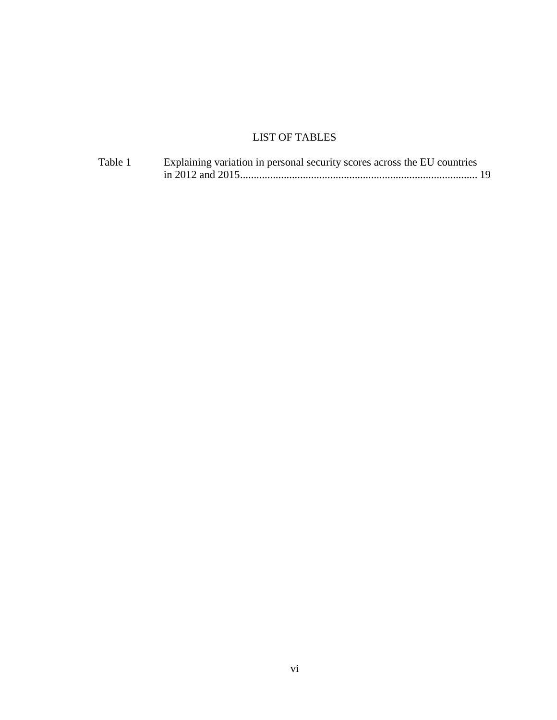# LIST OF TABLES

<span id="page-5-0"></span>

| Table 1 | Explaining variation in personal security scores across the EU countries |  |
|---------|--------------------------------------------------------------------------|--|
|         |                                                                          |  |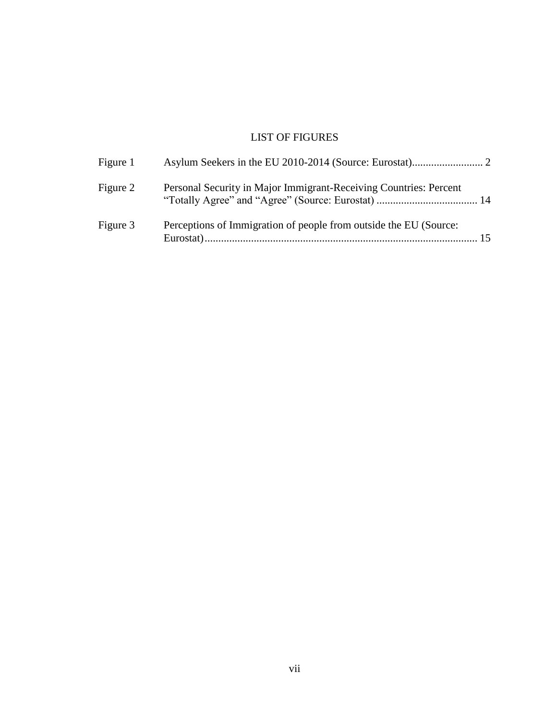### LIST OF FIGURES

<span id="page-6-0"></span>

| Figure 1 |                                                                   |    |
|----------|-------------------------------------------------------------------|----|
| Figure 2 | Personal Security in Major Immigrant-Receiving Countries: Percent |    |
| Figure 3 | Perceptions of Immigration of people from outside the EU (Source: | 15 |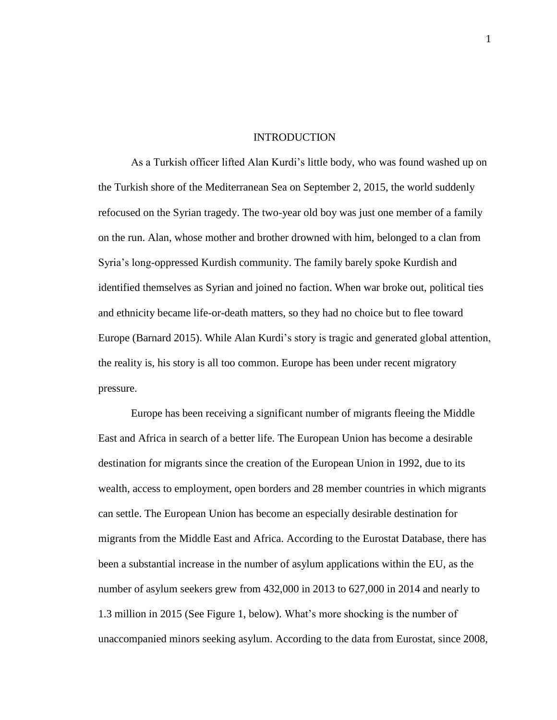#### INTRODUCTION

<span id="page-7-0"></span>As a Turkish officer lifted Alan Kurdi's little body, who was found washed up on the Turkish shore of the Mediterranean Sea on September 2, 2015, the world suddenly refocused on the Syrian tragedy. The two-year old boy was just one member of a family on the run. Alan, whose mother and brother drowned with him, belonged to a clan from Syria's long-oppressed Kurdish community. The family barely spoke Kurdish and identified themselves as Syrian and joined no faction. When war broke out, political ties and ethnicity became life-or-death matters, so they had no choice but to flee toward Europe (Barnard 2015). While Alan Kurdi's story is tragic and generated global attention, the reality is, his story is all too common. Europe has been under recent migratory pressure.

Europe has been receiving a significant number of migrants fleeing the Middle East and Africa in search of a better life. The European Union has become a desirable destination for migrants since the creation of the European Union in 1992, due to its wealth, access to employment, open borders and 28 member countries in which migrants can settle. The European Union has become an especially desirable destination for migrants from the Middle East and Africa. According to the Eurostat Database, there has been a substantial increase in the number of asylum applications within the EU, as the number of asylum seekers grew from 432,000 in 2013 to 627,000 in 2014 and nearly to 1.3 million in 2015 (See Figure 1, below). What's more shocking is the number of unaccompanied minors seeking asylum. According to the data from Eurostat, since 2008,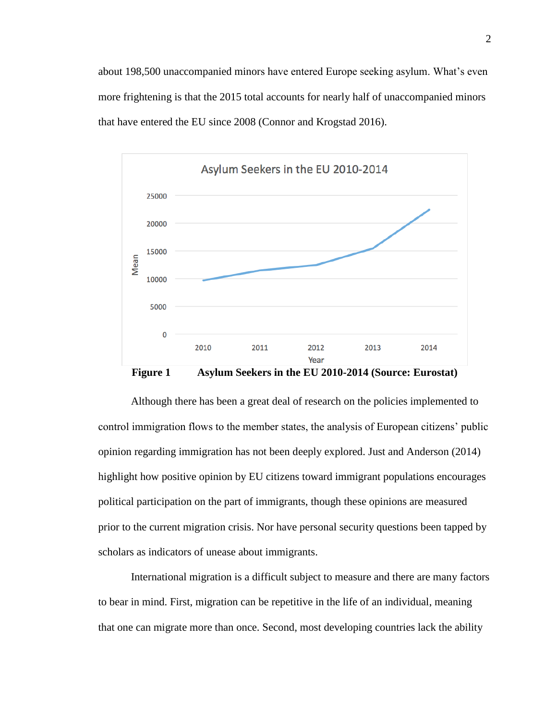about 198,500 unaccompanied minors have entered Europe seeking asylum. What's even more frightening is that the 2015 total accounts for nearly half of unaccompanied minors that have entered the EU since 2008 (Connor and Krogstad 2016).



**Figure 1 Asylum Seekers in the EU 2010-2014 (Source: Eurostat)**

<span id="page-8-0"></span>Although there has been a great deal of research on the policies implemented to control immigration flows to the member states, the analysis of European citizens' public opinion regarding immigration has not been deeply explored. Just and Anderson (2014) highlight how positive opinion by EU citizens toward immigrant populations encourages political participation on the part of immigrants, though these opinions are measured prior to the current migration crisis. Nor have personal security questions been tapped by scholars as indicators of unease about immigrants.

International migration is a difficult subject to measure and there are many factors to bear in mind. First, migration can be repetitive in the life of an individual, meaning that one can migrate more than once. Second, most developing countries lack the ability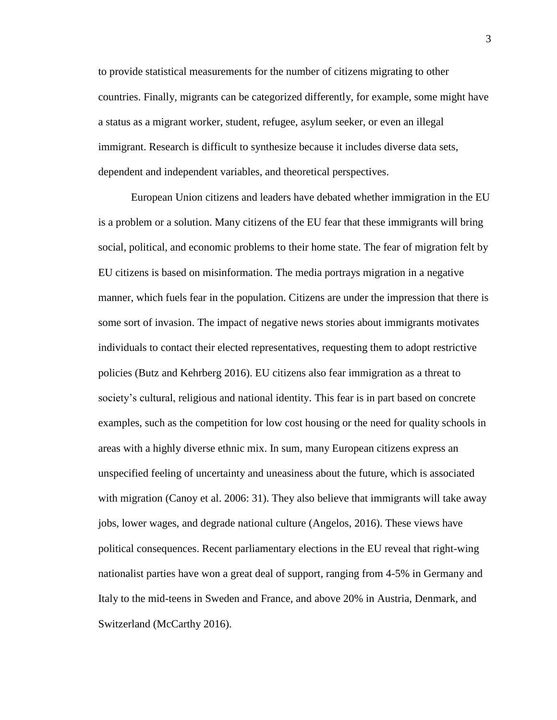to provide statistical measurements for the number of citizens migrating to other countries. Finally, migrants can be categorized differently, for example, some might have a status as a migrant worker, student, refugee, asylum seeker, or even an illegal immigrant. Research is difficult to synthesize because it includes diverse data sets, dependent and independent variables, and theoretical perspectives.

European Union citizens and leaders have debated whether immigration in the EU is a problem or a solution. Many citizens of the EU fear that these immigrants will bring social, political, and economic problems to their home state. The fear of migration felt by EU citizens is based on misinformation. The media portrays migration in a negative manner, which fuels fear in the population. Citizens are under the impression that there is some sort of invasion. The impact of negative news stories about immigrants motivates individuals to contact their elected representatives, requesting them to adopt restrictive policies (Butz and Kehrberg 2016). EU citizens also fear immigration as a threat to society's cultural, religious and national identity. This fear is in part based on concrete examples, such as the competition for low cost housing or the need for quality schools in areas with a highly diverse ethnic mix. In sum, many European citizens express an unspecified feeling of uncertainty and uneasiness about the future, which is associated with migration (Canoy et al. 2006: 31). They also believe that immigrants will take away jobs, lower wages, and degrade national culture (Angelos, 2016). These views have political consequences. Recent parliamentary elections in the EU reveal that right-wing nationalist parties have won a great deal of support, ranging from 4-5% in Germany and Italy to the mid-teens in Sweden and France, and above 20% in Austria, Denmark, and Switzerland (McCarthy 2016).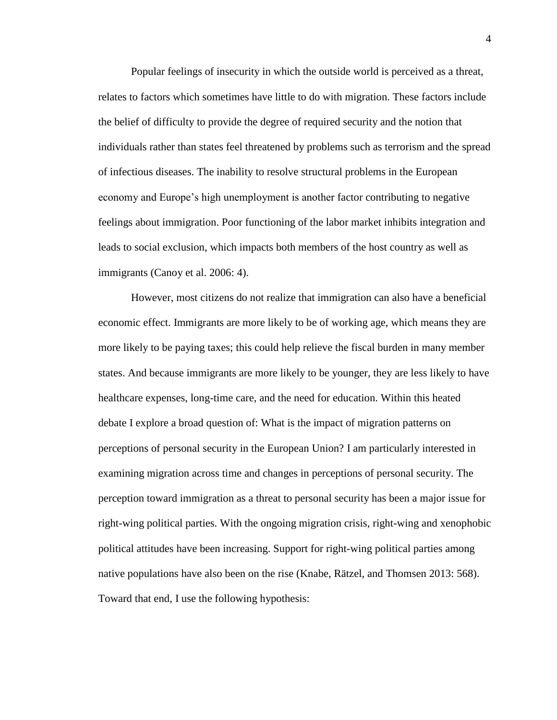Popular feelings of insecurity in which the outside world is perceived as a threat, relates to factors which sometimes have little to do with migration. These factors include the belief of difficulty to provide the degree of required security and the notion that individuals rather than states feel threatened by problems such as terrorism and the spread of infectious diseases. The inability to resolve structural problems in the European economy and Europe's high unemployment is another factor contributing to negative feelings about immigration. Poor functioning of the labor market inhibits integration and leads to social exclusion, which impacts both members of the host country as well as immigrants (Canoy et al. 2006: 4).

However, most citizens do not realize that immigration can also have a beneficial economic effect. Immigrants are more likely to be of working age, which means they are more likely to be paying taxes; this could help relieve the fiscal burden in many member states. And because immigrants are more likely to be younger, they are less likely to have healthcare expenses, long-time care, and the need for education. Within this heated debate I explore a broad question of: What is the impact of migration patterns on perceptions of personal security in the European Union? I am particularly interested in examining migration across time and changes in perceptions of personal security. The perception toward immigration as a threat to personal security has been a major issue for right-wing political parties. With the ongoing migration crisis, right-wing and xenophobic political attitudes have been increasing. Support for right-wing political parties among native populations have also been on the rise (Knabe, Rätzel, and Thomsen 2013: 568). Toward that end, I use the following hypothesis: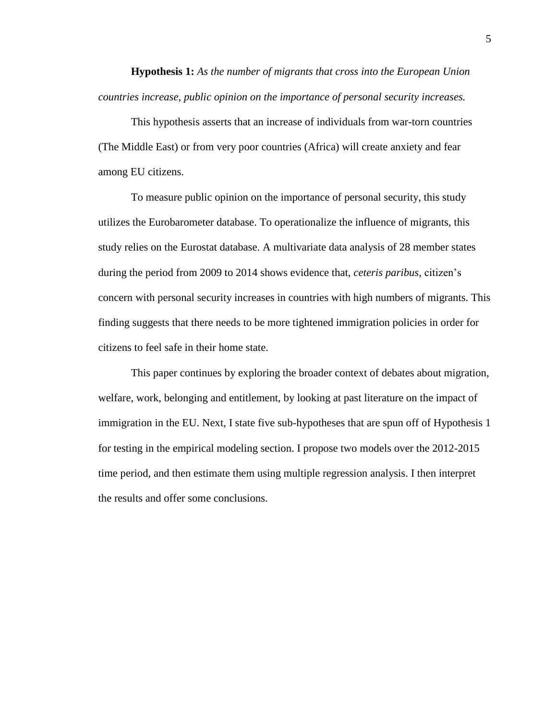**Hypothesis 1:** *As the number of migrants that cross into the European Union countries increase, public opinion on the importance of personal security increases.*

This hypothesis asserts that an increase of individuals from war-torn countries (The Middle East) or from very poor countries (Africa) will create anxiety and fear among EU citizens.

To measure public opinion on the importance of personal security, this study utilizes the Eurobarometer database. To operationalize the influence of migrants, this study relies on the Eurostat database. A multivariate data analysis of 28 member states during the period from 2009 to 2014 shows evidence that, *ceteris paribus,* citizen's concern with personal security increases in countries with high numbers of migrants. This finding suggests that there needs to be more tightened immigration policies in order for citizens to feel safe in their home state.

This paper continues by exploring the broader context of debates about migration, welfare, work, belonging and entitlement, by looking at past literature on the impact of immigration in the EU. Next, I state five sub-hypotheses that are spun off of Hypothesis 1 for testing in the empirical modeling section. I propose two models over the 2012-2015 time period, and then estimate them using multiple regression analysis. I then interpret the results and offer some conclusions.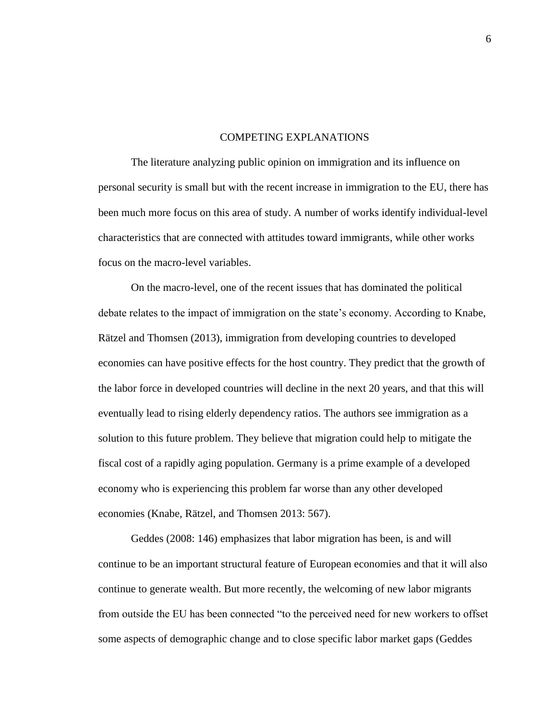#### COMPETING EXPLANATIONS

<span id="page-12-0"></span>The literature analyzing public opinion on immigration and its influence on personal security is small but with the recent increase in immigration to the EU, there has been much more focus on this area of study. A number of works identify individual-level characteristics that are connected with attitudes toward immigrants, while other works focus on the macro-level variables.

On the macro-level, one of the recent issues that has dominated the political debate relates to the impact of immigration on the state's economy. According to Knabe, Rätzel and Thomsen (2013), immigration from developing countries to developed economies can have positive effects for the host country. They predict that the growth of the labor force in developed countries will decline in the next 20 years, and that this will eventually lead to rising elderly dependency ratios. The authors see immigration as a solution to this future problem. They believe that migration could help to mitigate the fiscal cost of a rapidly aging population. Germany is a prime example of a developed economy who is experiencing this problem far worse than any other developed economies (Knabe, Rätzel, and Thomsen 2013: 567).

Geddes (2008: 146) emphasizes that labor migration has been, is and will continue to be an important structural feature of European economies and that it will also continue to generate wealth. But more recently, the welcoming of new labor migrants from outside the EU has been connected "to the perceived need for new workers to offset some aspects of demographic change and to close specific labor market gaps (Geddes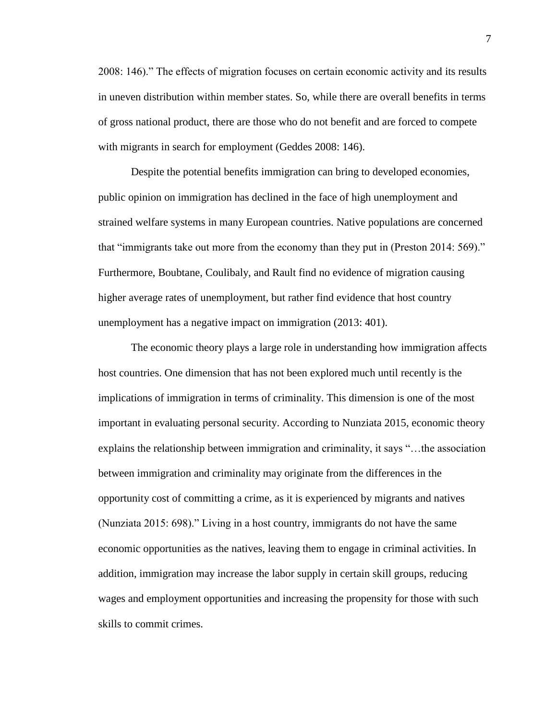2008: 146)." The effects of migration focuses on certain economic activity and its results in uneven distribution within member states. So, while there are overall benefits in terms of gross national product, there are those who do not benefit and are forced to compete with migrants in search for employment (Geddes 2008: 146).

Despite the potential benefits immigration can bring to developed economies, public opinion on immigration has declined in the face of high unemployment and strained welfare systems in many European countries. Native populations are concerned that "immigrants take out more from the economy than they put in (Preston 2014: 569)." Furthermore, Boubtane, Coulibaly, and Rault find no evidence of migration causing higher average rates of unemployment, but rather find evidence that host country unemployment has a negative impact on immigration (2013: 401).

The economic theory plays a large role in understanding how immigration affects host countries. One dimension that has not been explored much until recently is the implications of immigration in terms of criminality. This dimension is one of the most important in evaluating personal security. According to Nunziata 2015, economic theory explains the relationship between immigration and criminality, it says "…the association between immigration and criminality may originate from the differences in the opportunity cost of committing a crime, as it is experienced by migrants and natives (Nunziata 2015: 698)." Living in a host country, immigrants do not have the same economic opportunities as the natives, leaving them to engage in criminal activities. In addition, immigration may increase the labor supply in certain skill groups, reducing wages and employment opportunities and increasing the propensity for those with such skills to commit crimes.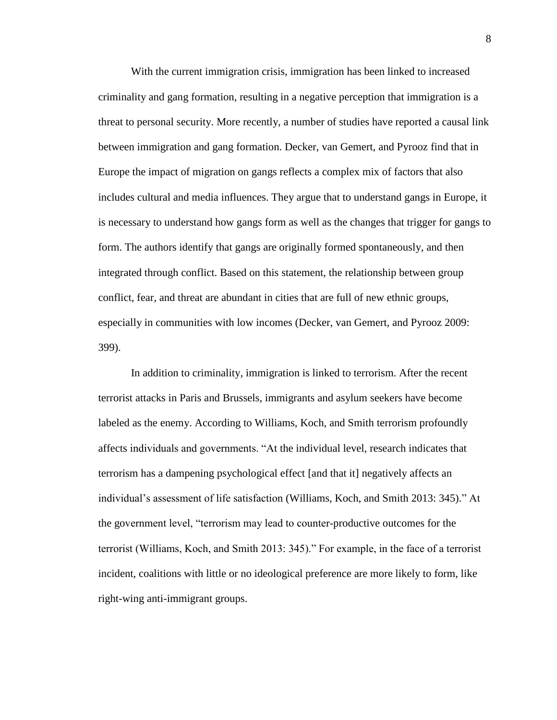With the current immigration crisis, immigration has been linked to increased criminality and gang formation, resulting in a negative perception that immigration is a threat to personal security. More recently, a number of studies have reported a causal link between immigration and gang formation. Decker, van Gemert, and Pyrooz find that in Europe the impact of migration on gangs reflects a complex mix of factors that also includes cultural and media influences. They argue that to understand gangs in Europe, it is necessary to understand how gangs form as well as the changes that trigger for gangs to form. The authors identify that gangs are originally formed spontaneously, and then integrated through conflict. Based on this statement, the relationship between group conflict, fear, and threat are abundant in cities that are full of new ethnic groups, especially in communities with low incomes (Decker, van Gemert, and Pyrooz 2009: 399).

In addition to criminality, immigration is linked to terrorism. After the recent terrorist attacks in Paris and Brussels, immigrants and asylum seekers have become labeled as the enemy. According to Williams, Koch, and Smith terrorism profoundly affects individuals and governments. "At the individual level, research indicates that terrorism has a dampening psychological effect [and that it] negatively affects an individual's assessment of life satisfaction (Williams, Koch, and Smith 2013: 345)." At the government level, "terrorism may lead to counter-productive outcomes for the terrorist (Williams, Koch, and Smith 2013: 345)." For example, in the face of a terrorist incident, coalitions with little or no ideological preference are more likely to form, like right-wing anti-immigrant groups.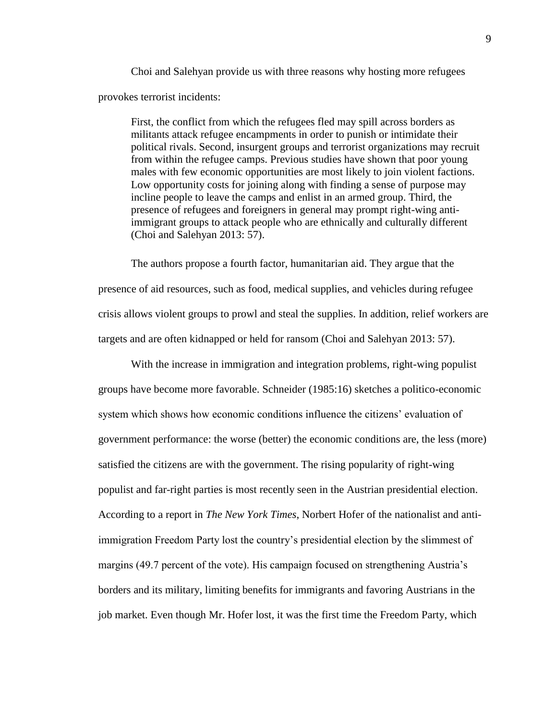Choi and Salehyan provide us with three reasons why hosting more refugees provokes terrorist incidents:

First, the conflict from which the refugees fled may spill across borders as militants attack refugee encampments in order to punish or intimidate their political rivals. Second, insurgent groups and terrorist organizations may recruit from within the refugee camps. Previous studies have shown that poor young males with few economic opportunities are most likely to join violent factions. Low opportunity costs for joining along with finding a sense of purpose may incline people to leave the camps and enlist in an armed group. Third, the presence of refugees and foreigners in general may prompt right-wing antiimmigrant groups to attack people who are ethnically and culturally different (Choi and Salehyan 2013: 57).

The authors propose a fourth factor, humanitarian aid. They argue that the presence of aid resources, such as food, medical supplies, and vehicles during refugee crisis allows violent groups to prowl and steal the supplies. In addition, relief workers are targets and are often kidnapped or held for ransom (Choi and Salehyan 2013: 57).

With the increase in immigration and integration problems, right-wing populist groups have become more favorable. Schneider (1985:16) sketches a politico-economic system which shows how economic conditions influence the citizens' evaluation of government performance: the worse (better) the economic conditions are, the less (more) satisfied the citizens are with the government. The rising popularity of right-wing populist and far-right parties is most recently seen in the Austrian presidential election. According to a report in *The New York Times*, Norbert Hofer of the nationalist and antiimmigration Freedom Party lost the country's presidential election by the slimmest of margins (49.7 percent of the vote). His campaign focused on strengthening Austria's borders and its military, limiting benefits for immigrants and favoring Austrians in the job market. Even though Mr. Hofer lost, it was the first time the Freedom Party, which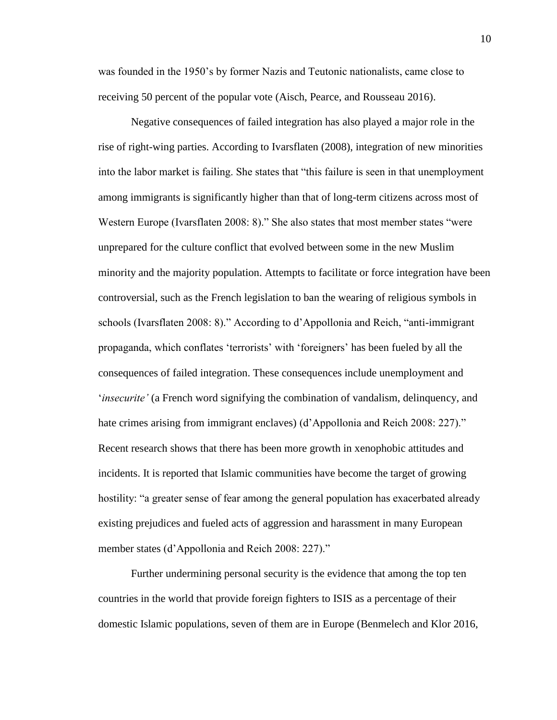was founded in the 1950's by former Nazis and Teutonic nationalists, came close to receiving 50 percent of the popular vote (Aisch, Pearce, and Rousseau 2016).

Negative consequences of failed integration has also played a major role in the rise of right-wing parties. According to Ivarsflaten (2008), integration of new minorities into the labor market is failing. She states that "this failure is seen in that unemployment among immigrants is significantly higher than that of long-term citizens across most of Western Europe (Ivarsflaten 2008: 8)." She also states that most member states "were unprepared for the culture conflict that evolved between some in the new Muslim minority and the majority population. Attempts to facilitate or force integration have been controversial, such as the French legislation to ban the wearing of religious symbols in schools (Ivarsflaten 2008: 8)." According to d'Appollonia and Reich, "anti-immigrant propaganda, which conflates 'terrorists' with 'foreigners' has been fueled by all the consequences of failed integration. These consequences include unemployment and '*insecurite'* (a French word signifying the combination of vandalism, delinquency, and hate crimes arising from immigrant enclaves) (d'Appollonia and Reich 2008: 227)." Recent research shows that there has been more growth in xenophobic attitudes and incidents. It is reported that Islamic communities have become the target of growing hostility: "a greater sense of fear among the general population has exacerbated already existing prejudices and fueled acts of aggression and harassment in many European member states (d'Appollonia and Reich 2008: 227)."

Further undermining personal security is the evidence that among the top ten countries in the world that provide foreign fighters to ISIS as a percentage of their domestic Islamic populations, seven of them are in Europe (Benmelech and Klor 2016,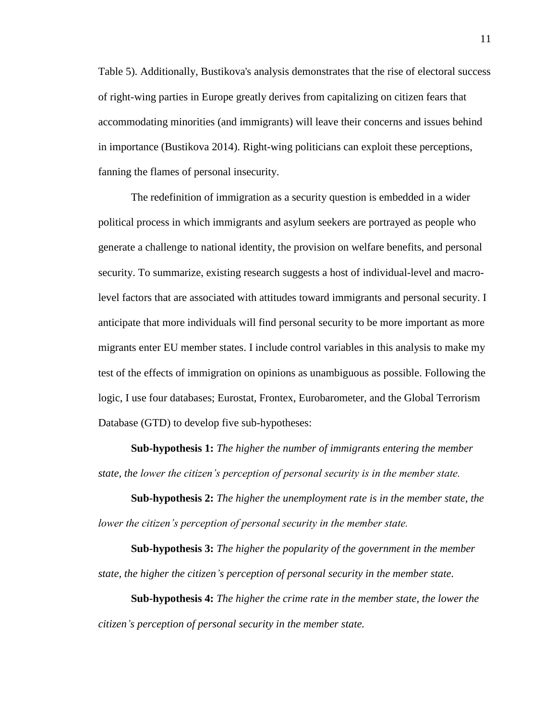Table 5). Additionally, Bustikova's analysis demonstrates that the rise of electoral success of right-wing parties in Europe greatly derives from capitalizing on citizen fears that accommodating minorities (and immigrants) will leave their concerns and issues behind in importance (Bustikova 2014). Right-wing politicians can exploit these perceptions, fanning the flames of personal insecurity.

The redefinition of immigration as a security question is embedded in a wider political process in which immigrants and asylum seekers are portrayed as people who generate a challenge to national identity, the provision on welfare benefits, and personal security. To summarize, existing research suggests a host of individual-level and macrolevel factors that are associated with attitudes toward immigrants and personal security. I anticipate that more individuals will find personal security to be more important as more migrants enter EU member states. I include control variables in this analysis to make my test of the effects of immigration on opinions as unambiguous as possible. Following the logic, I use four databases; Eurostat, Frontex, Eurobarometer, and the Global Terrorism Database (GTD) to develop five sub-hypotheses:

**Sub-hypothesis 1:** *The higher the number of immigrants entering the member state, the lower the citizen's perception of personal security is in the member state.*

**Sub-hypothesis 2:** *The higher the unemployment rate is in the member state, the lower the citizen's perception of personal security in the member state.*

**Sub-hypothesis 3:** *The higher the popularity of the government in the member state, the higher the citizen's perception of personal security in the member state.*

**Sub-hypothesis 4:** *The higher the crime rate in the member state, the lower the citizen's perception of personal security in the member state.*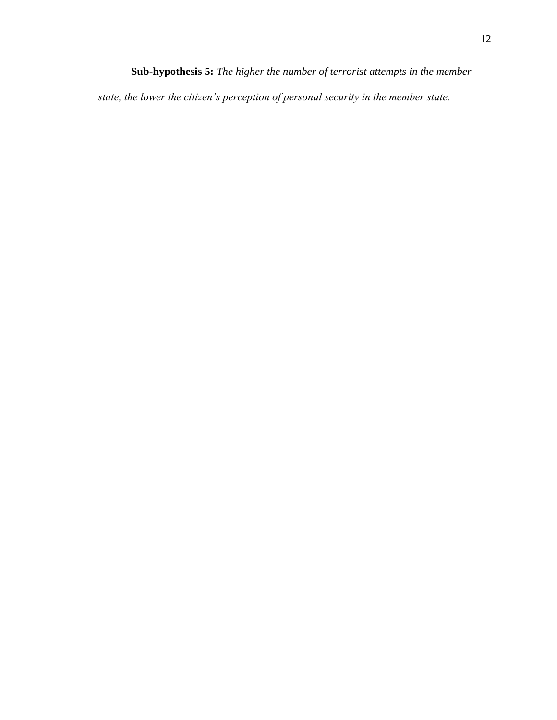**Sub-hypothesis 5:** *The higher the number of terrorist attempts in the member state, the lower the citizen's perception of personal security in the member state.*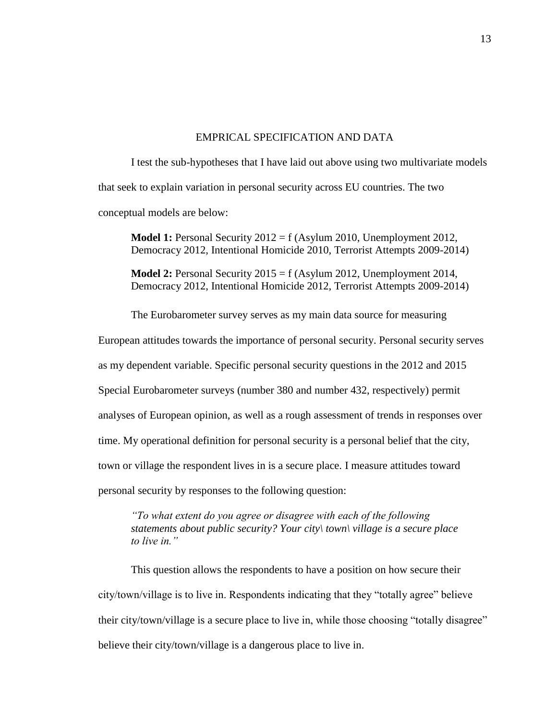#### EMPRICAL SPECIFICATION AND DATA

<span id="page-19-0"></span>I test the sub-hypotheses that I have laid out above using two multivariate models that seek to explain variation in personal security across EU countries. The two conceptual models are below:

**Model 1:** Personal Security 2012 = f (Asylum 2010, Unemployment 2012, Democracy 2012, Intentional Homicide 2010, Terrorist Attempts 2009-2014)

**Model 2:** Personal Security 2015 = f (Asylum 2012, Unemployment 2014, Democracy 2012, Intentional Homicide 2012, Terrorist Attempts 2009-2014)

The Eurobarometer survey serves as my main data source for measuring

European attitudes towards the importance of personal security. Personal security serves as my dependent variable. Specific personal security questions in the 2012 and 2015 Special Eurobarometer surveys (number 380 and number 432, respectively) permit analyses of European opinion, as well as a rough assessment of trends in responses over time. My operational definition for personal security is a personal belief that the city, town or village the respondent lives in is a secure place. I measure attitudes toward personal security by responses to the following question:

*"To what extent do you agree or disagree with each of the following statements about public security? Your city\ town\ village is a secure place to live in."*

This question allows the respondents to have a position on how secure their city/town/village is to live in. Respondents indicating that they "totally agree" believe their city/town/village is a secure place to live in, while those choosing "totally disagree" believe their city/town/village is a dangerous place to live in.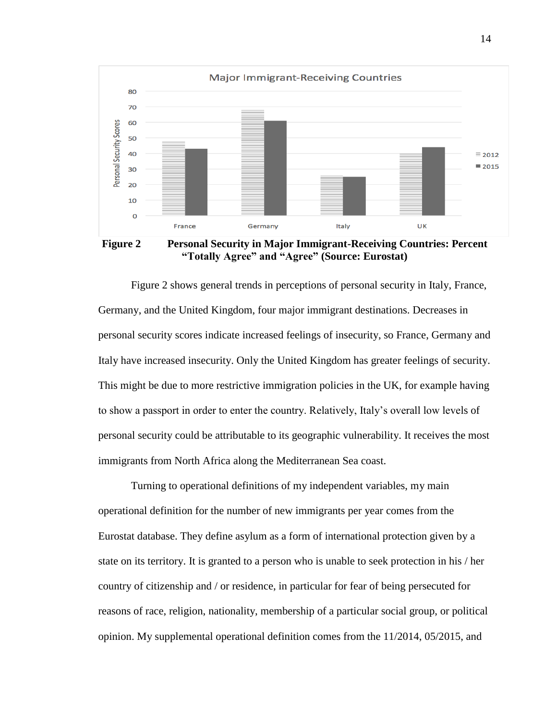

<span id="page-20-0"></span>**Figure 2 Personal Security in Major Immigrant-Receiving Countries: Percent "Totally Agree" and "Agree" (Source: Eurostat)**

Figure 2 shows general trends in perceptions of personal security in Italy, France, Germany, and the United Kingdom, four major immigrant destinations. Decreases in personal security scores indicate increased feelings of insecurity, so France, Germany and Italy have increased insecurity. Only the United Kingdom has greater feelings of security. This might be due to more restrictive immigration policies in the UK, for example having to show a passport in order to enter the country. Relatively, Italy's overall low levels of personal security could be attributable to its geographic vulnerability. It receives the most immigrants from North Africa along the Mediterranean Sea coast.

Turning to operational definitions of my independent variables, my main operational definition for the number of new immigrants per year comes from the Eurostat database. They define asylum as a form of international protection given by a state on its territory. It is granted to a person who is unable to seek protection in his / her country of citizenship and / or residence, in particular for fear of being persecuted for reasons of race, religion, nationality, membership of a particular social group, or political opinion. My supplemental operational definition comes from the 11/2014, 05/2015, and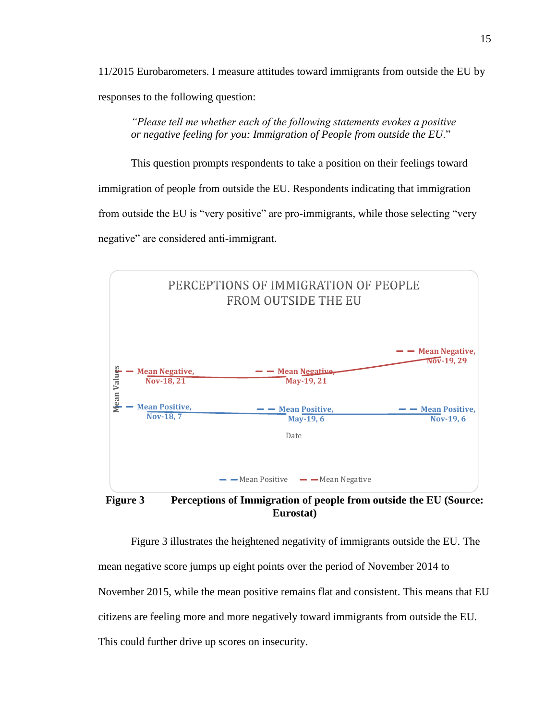11/2015 Eurobarometers. I measure attitudes toward immigrants from outside the EU by responses to the following question:

*"Please tell me whether each of the following statements evokes a positive or negative feeling for you: Immigration of People from outside the EU*."

This question prompts respondents to take a position on their feelings toward immigration of people from outside the EU. Respondents indicating that immigration from outside the EU is "very positive" are pro-immigrants, while those selecting "very negative" are considered anti-immigrant.



<span id="page-21-0"></span>**Eurostat)**

Figure 3 illustrates the heightened negativity of immigrants outside the EU. The mean negative score jumps up eight points over the period of November 2014 to November 2015, while the mean positive remains flat and consistent. This means that EU citizens are feeling more and more negatively toward immigrants from outside the EU. This could further drive up scores on insecurity.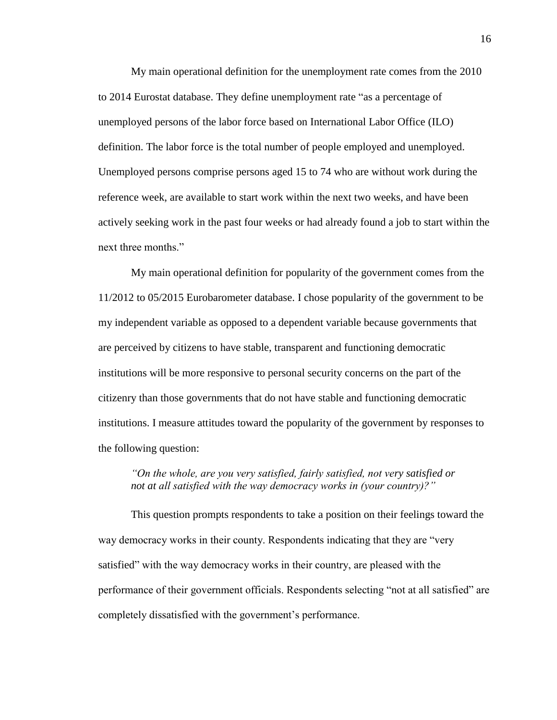My main operational definition for the unemployment rate comes from the 2010 to 2014 Eurostat database. They define unemployment rate "as a percentage of unemployed persons of the labor force based on International Labor Office (ILO) definition. The labor force is the total number of people employed and unemployed. Unemployed persons comprise persons aged 15 to 74 who are without work during the reference week, are available to start work within the next two weeks, and have been actively seeking work in the past four weeks or had already found a job to start within the next three months."

My main operational definition for popularity of the government comes from the 11/2012 to 05/2015 Eurobarometer database. I chose popularity of the government to be my independent variable as opposed to a dependent variable because governments that are perceived by citizens to have stable, transparent and functioning democratic institutions will be more responsive to personal security concerns on the part of the citizenry than those governments that do not have stable and functioning democratic institutions. I measure attitudes toward the popularity of the government by responses to the following question:

#### *"On the whole, are you very satisfied, fairly satisfied, not very satisfied or not at all satisfied with the way democracy works in (your country)?"*

This question prompts respondents to take a position on their feelings toward the way democracy works in their county. Respondents indicating that they are "very satisfied" with the way democracy works in their country, are pleased with the performance of their government officials. Respondents selecting "not at all satisfied" are completely dissatisfied with the government's performance.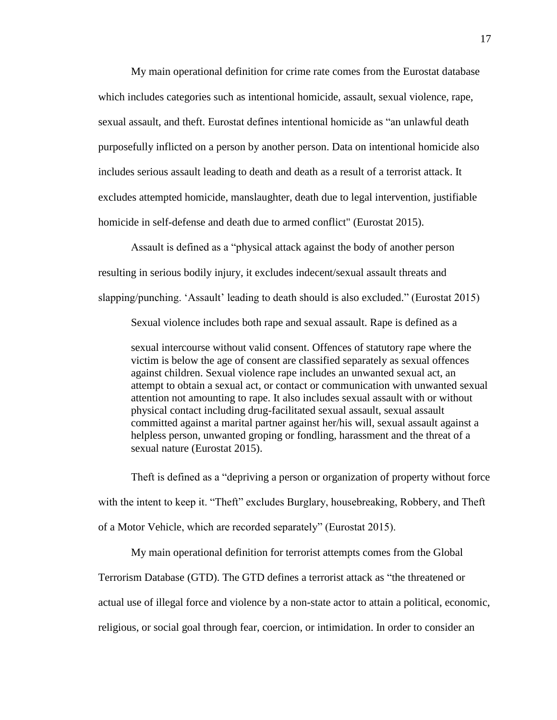My main operational definition for crime rate comes from the Eurostat database which includes categories such as intentional homicide, assault, sexual violence, rape, sexual assault, and theft. Eurostat defines intentional homicide as "an unlawful death purposefully inflicted on a person by another person. Data on intentional homicide also includes serious assault leading to death and death as a result of a terrorist attack. It excludes attempted homicide, manslaughter, death due to legal intervention, justifiable homicide in self-defense and death due to armed conflict" (Eurostat 2015).

Assault is defined as a "physical attack against the body of another person resulting in serious bodily injury, it excludes indecent/sexual assault threats and slapping/punching. 'Assault' leading to death should is also excluded." (Eurostat 2015)

Sexual violence includes both rape and sexual assault. Rape is defined as a

sexual intercourse without valid consent. Offences of statutory rape where the victim is below the age of consent are classified separately as sexual offences against children. Sexual violence rape includes an unwanted sexual act, an attempt to obtain a sexual act, or contact or communication with unwanted sexual attention not amounting to rape. It also includes sexual assault with or without physical contact including drug-facilitated sexual assault, sexual assault committed against a marital partner against her/his will, sexual assault against a helpless person, unwanted groping or fondling, harassment and the threat of a sexual nature (Eurostat 2015).

Theft is defined as a "depriving a person or organization of property without force with the intent to keep it. "Theft" excludes Burglary, housebreaking, Robbery, and Theft of a Motor Vehicle, which are recorded separately" (Eurostat 2015).

My main operational definition for terrorist attempts comes from the Global

Terrorism Database (GTD). The GTD defines a terrorist attack as "the threatened or

actual use of illegal force and violence by a non-state actor to attain a political, economic,

religious, or social goal through fear, coercion, or intimidation. In order to consider an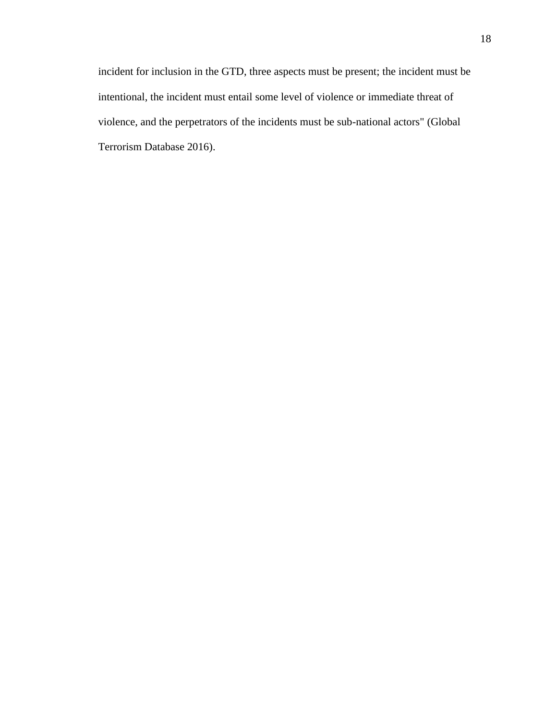incident for inclusion in the GTD, three aspects must be present; the incident must be intentional, the incident must entail some level of violence or immediate threat of violence, and the perpetrators of the incidents must be sub-national actors" (Global Terrorism Database 2016).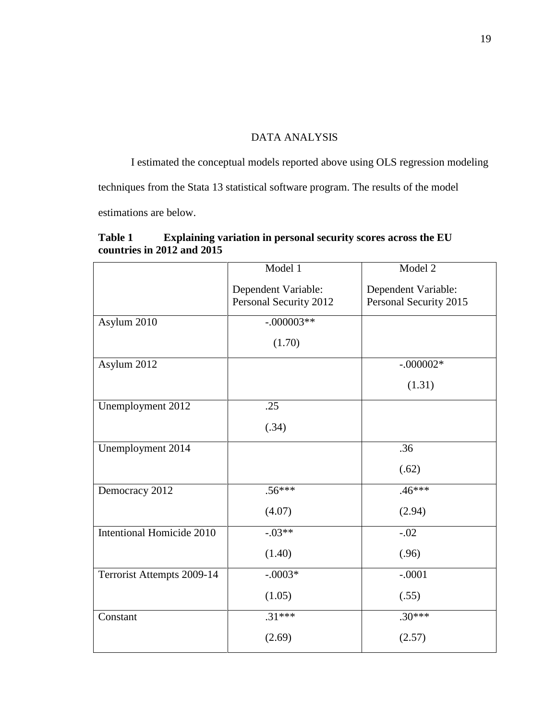### DATA ANALYSIS

<span id="page-25-0"></span>I estimated the conceptual models reported above using OLS regression modeling techniques from the Stata 13 statistical software program. The results of the model estimations are below.

<span id="page-25-1"></span>

| <b>Table 1</b> | Explaining variation in personal security scores across the EU |
|----------------|----------------------------------------------------------------|
|                | countries in 2012 and 2015                                     |

|                            | Model 1                                       | Model 2                                       |
|----------------------------|-----------------------------------------------|-----------------------------------------------|
|                            | Dependent Variable:<br>Personal Security 2012 | Dependent Variable:<br>Personal Security 2015 |
| Asylum 2010                | $-.000003**$                                  |                                               |
|                            | (1.70)                                        |                                               |
| Asylum 2012                |                                               | $-.000002*$                                   |
|                            |                                               | (1.31)                                        |
| Unemployment 2012          | .25                                           |                                               |
|                            | (.34)                                         |                                               |
| Unemployment 2014          |                                               | .36                                           |
|                            |                                               | (.62)                                         |
| Democracy 2012             | $.56***$                                      | $.46***$                                      |
|                            | (4.07)                                        | (2.94)                                        |
| Intentional Homicide 2010  | $-.03**$                                      | $-.02$                                        |
|                            | (1.40)                                        | (.96)                                         |
| Terrorist Attempts 2009-14 | $-.0003*$                                     | $-.0001$                                      |
|                            | (1.05)                                        | (.55)                                         |
| Constant                   | $.31***$                                      | $.30***$                                      |
|                            | (2.69)                                        | (2.57)                                        |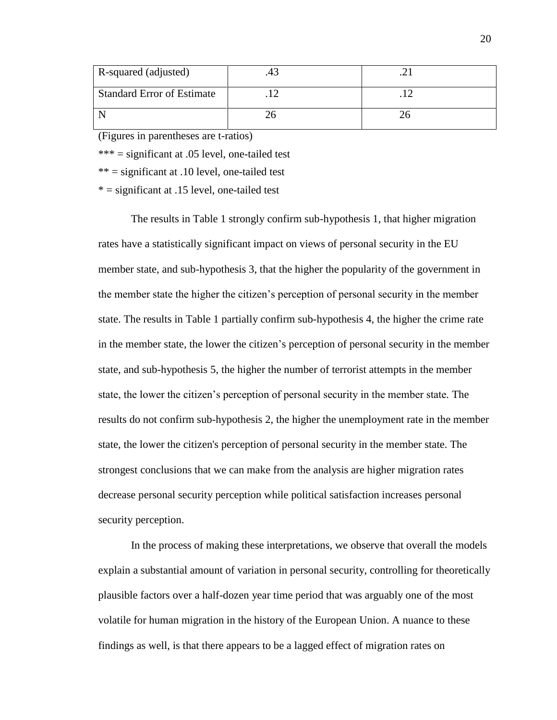| R-squared (adjusted)              |  |
|-----------------------------------|--|
| <b>Standard Error of Estimate</b> |  |
|                                   |  |

(Figures in parentheses are t-ratios)

\*\*\* = significant at .05 level, one-tailed test

 $***$  = significant at .10 level, one-tailed test

 $* =$  significant at .15 level, one-tailed test

The results in Table 1 strongly confirm sub-hypothesis 1, that higher migration rates have a statistically significant impact on views of personal security in the EU member state, and sub-hypothesis 3, that the higher the popularity of the government in the member state the higher the citizen's perception of personal security in the member state. The results in Table 1 partially confirm sub-hypothesis 4, the higher the crime rate in the member state, the lower the citizen's perception of personal security in the member state, and sub-hypothesis 5, the higher the number of terrorist attempts in the member state, the lower the citizen's perception of personal security in the member state*.* The results do not confirm sub-hypothesis 2, the higher the unemployment rate in the member state, the lower the citizen's perception of personal security in the member state. The strongest conclusions that we can make from the analysis are higher migration rates decrease personal security perception while political satisfaction increases personal security perception.

In the process of making these interpretations, we observe that overall the models explain a substantial amount of variation in personal security, controlling for theoretically plausible factors over a half-dozen year time period that was arguably one of the most volatile for human migration in the history of the European Union. A nuance to these findings as well, is that there appears to be a lagged effect of migration rates on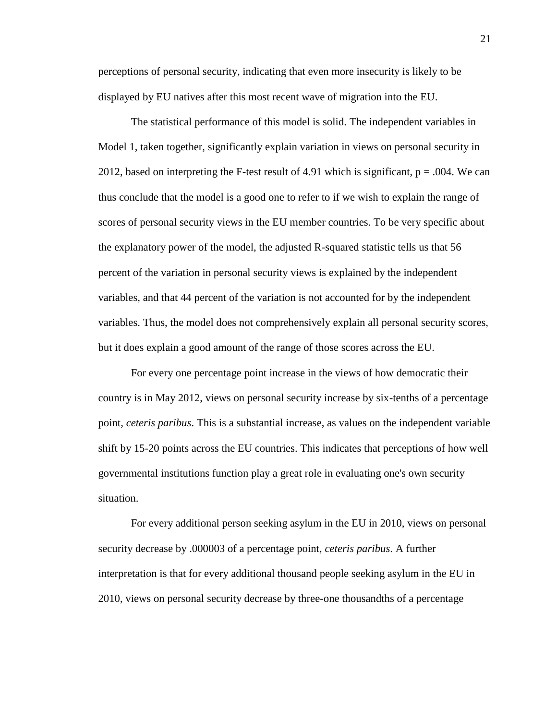perceptions of personal security, indicating that even more insecurity is likely to be displayed by EU natives after this most recent wave of migration into the EU.

The statistical performance of this model is solid. The independent variables in Model 1, taken together, significantly explain variation in views on personal security in 2012, based on interpreting the F-test result of 4.91 which is significant,  $p = .004$ . We can thus conclude that the model is a good one to refer to if we wish to explain the range of scores of personal security views in the EU member countries. To be very specific about the explanatory power of the model, the adjusted R-squared statistic tells us that 56 percent of the variation in personal security views is explained by the independent variables, and that 44 percent of the variation is not accounted for by the independent variables. Thus, the model does not comprehensively explain all personal security scores, but it does explain a good amount of the range of those scores across the EU.

For every one percentage point increase in the views of how democratic their country is in May 2012, views on personal security increase by six-tenths of a percentage point, *ceteris paribus*. This is a substantial increase, as values on the independent variable shift by 15-20 points across the EU countries. This indicates that perceptions of how well governmental institutions function play a great role in evaluating one's own security situation.

For every additional person seeking asylum in the EU in 2010, views on personal security decrease by .000003 of a percentage point, *ceteris paribus*. A further interpretation is that for every additional thousand people seeking asylum in the EU in 2010, views on personal security decrease by three-one thousandths of a percentage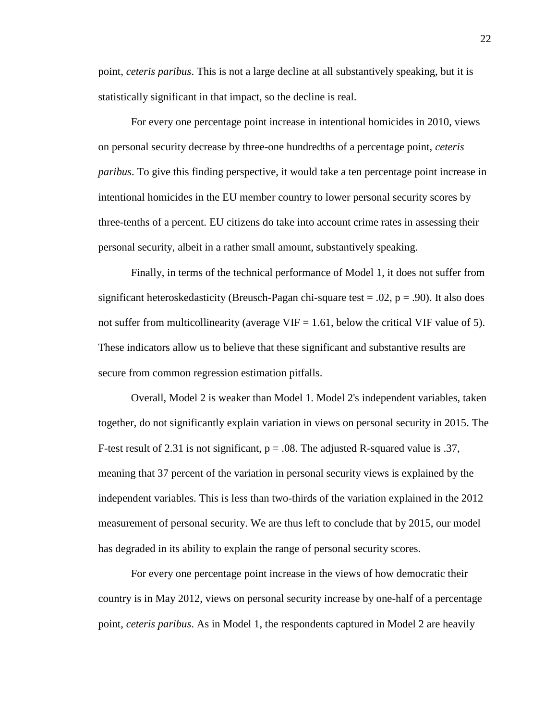point, *ceteris paribus*. This is not a large decline at all substantively speaking, but it is statistically significant in that impact, so the decline is real.

For every one percentage point increase in intentional homicides in 2010, views on personal security decrease by three-one hundredths of a percentage point, *ceteris paribus*. To give this finding perspective, it would take a ten percentage point increase in intentional homicides in the EU member country to lower personal security scores by three-tenths of a percent. EU citizens do take into account crime rates in assessing their personal security, albeit in a rather small amount, substantively speaking.

Finally, in terms of the technical performance of Model 1, it does not suffer from significant heteroskedasticity (Breusch-Pagan chi-square test  $= .02$ ,  $p = .90$ ). It also does not suffer from multicollinearity (average  $VIF = 1.61$ , below the critical VIF value of 5). These indicators allow us to believe that these significant and substantive results are secure from common regression estimation pitfalls.

Overall, Model 2 is weaker than Model 1. Model 2's independent variables, taken together, do not significantly explain variation in views on personal security in 2015. The F-test result of 2.31 is not significant,  $p = .08$ . The adjusted R-squared value is .37, meaning that 37 percent of the variation in personal security views is explained by the independent variables. This is less than two-thirds of the variation explained in the 2012 measurement of personal security. We are thus left to conclude that by 2015, our model has degraded in its ability to explain the range of personal security scores.

For every one percentage point increase in the views of how democratic their country is in May 2012, views on personal security increase by one-half of a percentage point, *ceteris paribus*. As in Model 1, the respondents captured in Model 2 are heavily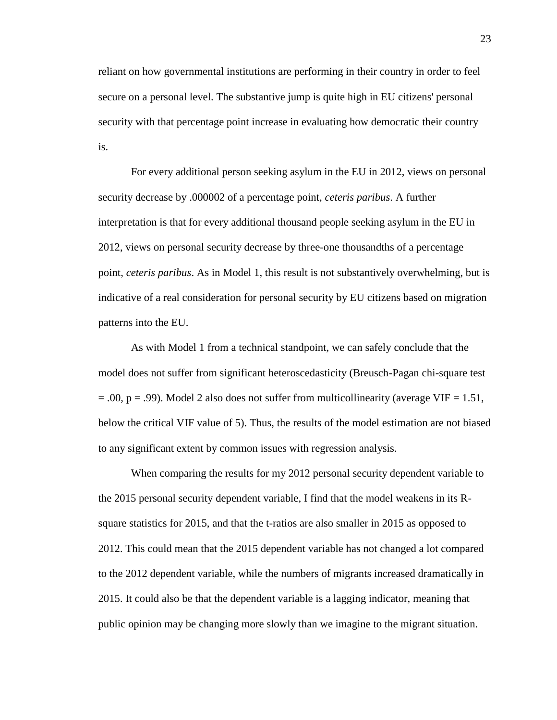reliant on how governmental institutions are performing in their country in order to feel secure on a personal level. The substantive jump is quite high in EU citizens' personal security with that percentage point increase in evaluating how democratic their country is.

For every additional person seeking asylum in the EU in 2012, views on personal security decrease by .000002 of a percentage point, *ceteris paribus*. A further interpretation is that for every additional thousand people seeking asylum in the EU in 2012, views on personal security decrease by three-one thousandths of a percentage point, *ceteris paribus*. As in Model 1, this result is not substantively overwhelming, but is indicative of a real consideration for personal security by EU citizens based on migration patterns into the EU.

As with Model 1 from a technical standpoint, we can safely conclude that the model does not suffer from significant heteroscedasticity (Breusch-Pagan chi-square test  $=$  .00, p = .99). Model 2 also does not suffer from multicollinearity (average VIF = 1.51, below the critical VIF value of 5). Thus, the results of the model estimation are not biased to any significant extent by common issues with regression analysis.

When comparing the results for my 2012 personal security dependent variable to the 2015 personal security dependent variable, I find that the model weakens in its Rsquare statistics for 2015, and that the t-ratios are also smaller in 2015 as opposed to 2012. This could mean that the 2015 dependent variable has not changed a lot compared to the 2012 dependent variable, while the numbers of migrants increased dramatically in 2015. It could also be that the dependent variable is a lagging indicator, meaning that public opinion may be changing more slowly than we imagine to the migrant situation.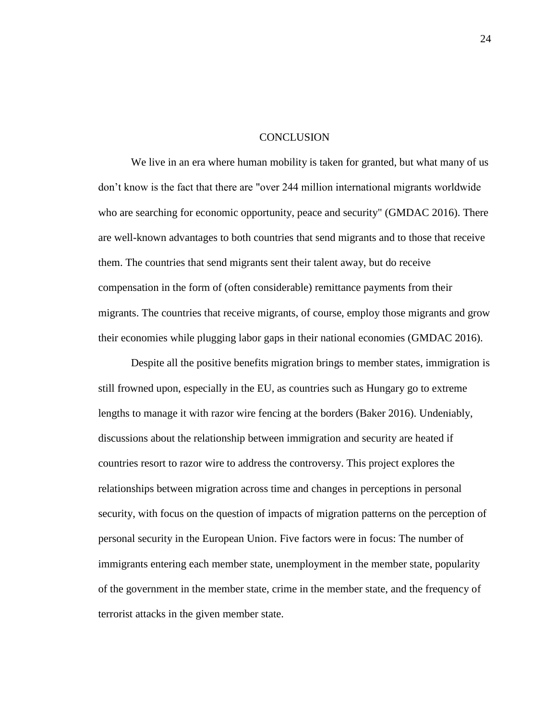#### **CONCLUSION**

<span id="page-30-0"></span>We live in an era where human mobility is taken for granted, but what many of us don't know is the fact that there are "over 244 million international migrants worldwide who are searching for economic opportunity, peace and security" (GMDAC 2016). There are well-known advantages to both countries that send migrants and to those that receive them. The countries that send migrants sent their talent away, but do receive compensation in the form of (often considerable) remittance payments from their migrants. The countries that receive migrants, of course, employ those migrants and grow their economies while plugging labor gaps in their national economies (GMDAC 2016).

Despite all the positive benefits migration brings to member states, immigration is still frowned upon, especially in the EU, as countries such as Hungary go to extreme lengths to manage it with razor wire fencing at the borders (Baker 2016). Undeniably, discussions about the relationship between immigration and security are heated if countries resort to razor wire to address the controversy. This project explores the relationships between migration across time and changes in perceptions in personal security, with focus on the question of impacts of migration patterns on the perception of personal security in the European Union. Five factors were in focus: The number of immigrants entering each member state, unemployment in the member state, popularity of the government in the member state, crime in the member state, and the frequency of terrorist attacks in the given member state.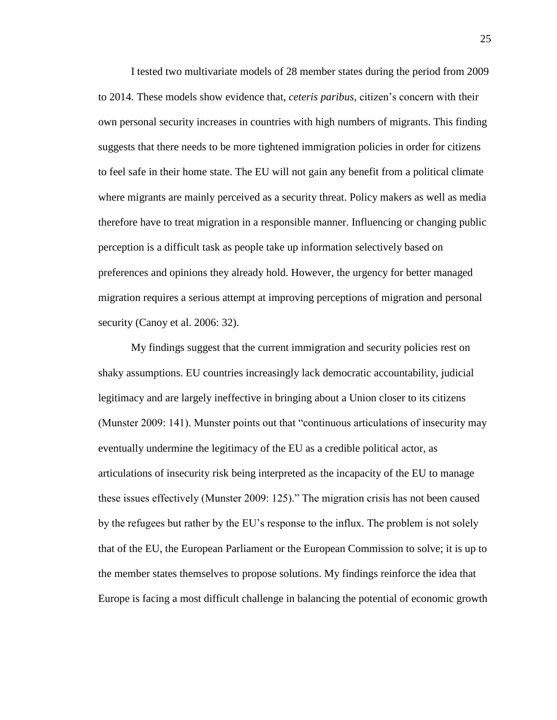I tested two multivariate models of 28 member states during the period from 2009 to 2014. These models show evidence that, *ceteris paribus,* citizen's concern with their own personal security increases in countries with high numbers of migrants. This finding suggests that there needs to be more tightened immigration policies in order for citizens to feel safe in their home state. The EU will not gain any benefit from a political climate where migrants are mainly perceived as a security threat. Policy makers as well as media therefore have to treat migration in a responsible manner. Influencing or changing public perception is a difficult task as people take up information selectively based on preferences and opinions they already hold. However, the urgency for better managed migration requires a serious attempt at improving perceptions of migration and personal security (Canoy et al. 2006: 32).

My findings suggest that the current immigration and security policies rest on shaky assumptions. EU countries increasingly lack democratic accountability, judicial legitimacy and are largely ineffective in bringing about a Union closer to its citizens (Munster 2009: 141). Munster points out that "continuous articulations of insecurity may eventually undermine the legitimacy of the EU as a credible political actor, as articulations of insecurity risk being interpreted as the incapacity of the EU to manage these issues effectively (Munster 2009: 125)." The migration crisis has not been caused by the refugees but rather by the EU's response to the influx. The problem is not solely that of the EU, the European Parliament or the European Commission to solve; it is up to the member states themselves to propose solutions. My findings reinforce the idea that Europe is facing a most difficult challenge in balancing the potential of economic growth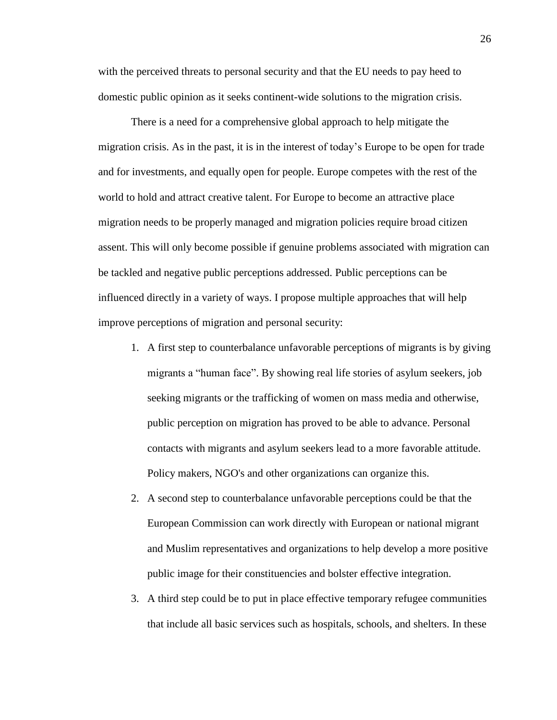with the perceived threats to personal security and that the EU needs to pay heed to domestic public opinion as it seeks continent-wide solutions to the migration crisis.

There is a need for a comprehensive global approach to help mitigate the migration crisis. As in the past, it is in the interest of today's Europe to be open for trade and for investments, and equally open for people. Europe competes with the rest of the world to hold and attract creative talent. For Europe to become an attractive place migration needs to be properly managed and migration policies require broad citizen assent. This will only become possible if genuine problems associated with migration can be tackled and negative public perceptions addressed. Public perceptions can be influenced directly in a variety of ways. I propose multiple approaches that will help improve perceptions of migration and personal security:

- 1. A first step to counterbalance unfavorable perceptions of migrants is by giving migrants a "human face". By showing real life stories of asylum seekers, job seeking migrants or the trafficking of women on mass media and otherwise, public perception on migration has proved to be able to advance. Personal contacts with migrants and asylum seekers lead to a more favorable attitude. Policy makers, NGO's and other organizations can organize this.
- 2. A second step to counterbalance unfavorable perceptions could be that the European Commission can work directly with European or national migrant and Muslim representatives and organizations to help develop a more positive public image for their constituencies and bolster effective integration.
- 3. A third step could be to put in place effective temporary refugee communities that include all basic services such as hospitals, schools, and shelters. In these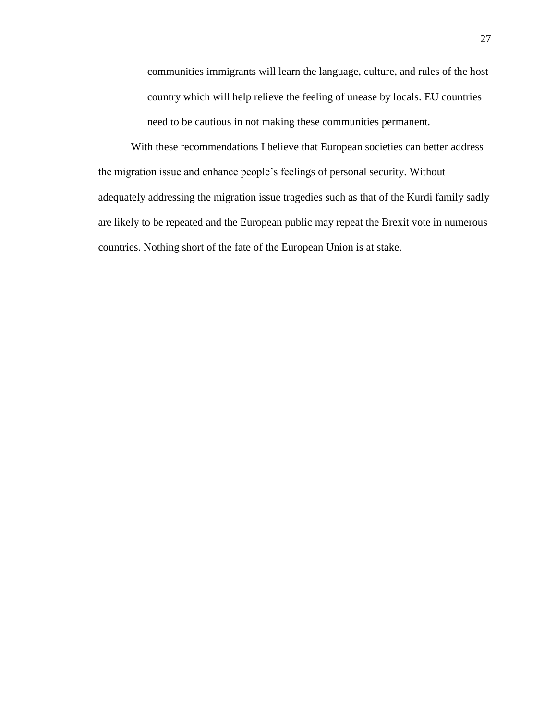communities immigrants will learn the language, culture, and rules of the host country which will help relieve the feeling of unease by locals. EU countries need to be cautious in not making these communities permanent.

With these recommendations I believe that European societies can better address the migration issue and enhance people's feelings of personal security. Without adequately addressing the migration issue tragedies such as that of the Kurdi family sadly are likely to be repeated and the European public may repeat the Brexit vote in numerous countries. Nothing short of the fate of the European Union is at stake.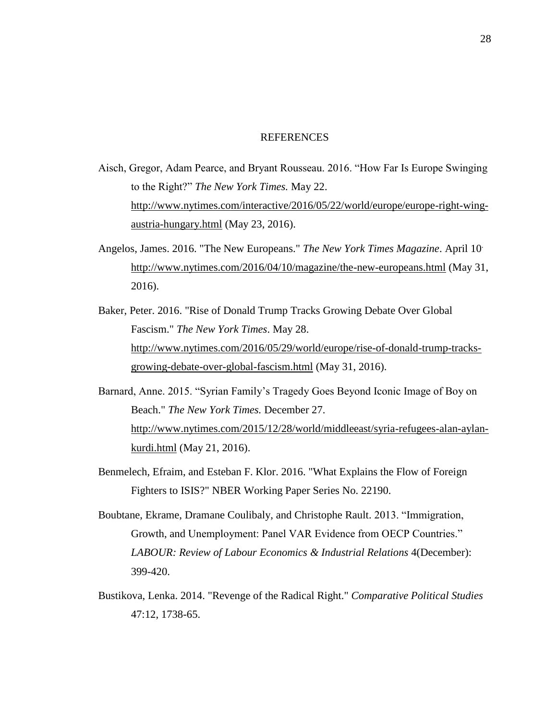#### REFERENCES

- <span id="page-34-0"></span>Aisch, Gregor, Adam Pearce, and Bryant Rousseau. 2016. "How Far Is Europe Swinging to the Right?" *The New York Times.* May 22. [http://www.nytimes.com/interactive/2016/05/22/world/europe/europe-right-wing](http://www.nytimes.com/interactive/2016/05/22/world/europe/europe-right-wing-austria-hungary.html)[austria-hungary.html](http://www.nytimes.com/interactive/2016/05/22/world/europe/europe-right-wing-austria-hungary.html) (May 23, 2016).
- Angelos, James. 2016. "The New Europeans." *The New York Times Magazine*. April 10. <http://www.nytimes.com/2016/04/10/magazine/the-new-europeans.html> (May 31, 2016).
- Baker, Peter. 2016. "Rise of Donald Trump Tracks Growing Debate Over Global Fascism." *The New York Times*. May 28. [http://www.nytimes.com/2016/05/29/world/europe/rise-of-donald-trump-tracks](http://www.nytimes.com/2016/05/29/world/europe/rise-of-donald-trump-tracks-growing-debate-over-global-fascism.html)[growing-debate-over-global-fascism.html](http://www.nytimes.com/2016/05/29/world/europe/rise-of-donald-trump-tracks-growing-debate-over-global-fascism.html) (May 31, 2016).
- Barnard, Anne. 2015. "Syrian Family's Tragedy Goes Beyond Iconic Image of Boy on Beach." *The New York Times.* December 27. [http://www.nytimes.com/2015/12/28/world/middleeast/syria-refugees-alan-aylan](http://www.nytimes.com/2015/12/28/world/middleeast/syria-refugees-alan-aylan-kurdi.html)[kurdi.html](http://www.nytimes.com/2015/12/28/world/middleeast/syria-refugees-alan-aylan-kurdi.html) (May 21, 2016).
- Benmelech, Efraim, and Esteban F. Klor. 2016. "What Explains the Flow of Foreign Fighters to ISIS?" NBER Working Paper Series No. 22190.
- Boubtane, Ekrame, Dramane Coulibaly, and Christophe Rault. 2013. "Immigration, Growth, and Unemployment: Panel VAR Evidence from OECP Countries." *LABOUR: Review of Labour Economics & Industrial Relations* 4(December): 399-420.
- Bustikova, Lenka. 2014. "Revenge of the Radical Right." *Comparative Political Studies* 47:12, 1738-65.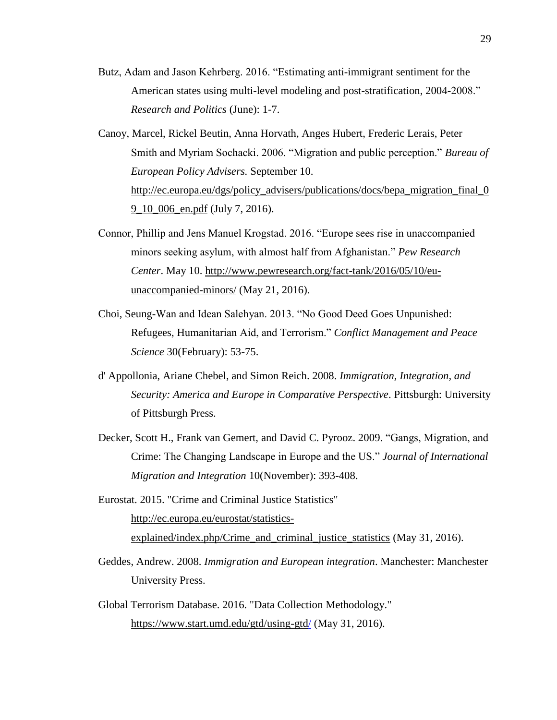- Butz, Adam and Jason Kehrberg. 2016. "Estimating anti-immigrant sentiment for the American states using multi-level modeling and post-stratification, 2004-2008." *Research and Politics* (June): 1-7.
- Canoy, Marcel, Rickel Beutin, Anna Horvath, Anges Hubert, Frederic Lerais, Peter Smith and Myriam Sochacki. 2006. "Migration and public perception." *Bureau of European Policy Advisers.* September 10. [http://ec.europa.eu/dgs/policy\\_advisers/publications/docs/bepa\\_migration\\_final\\_0](http://ec.europa.eu/dgs/policy_advisers/publications/docs/bepa_migration_final_09_10_006_en.pdf) [9\\_10\\_006\\_en.pdf](http://ec.europa.eu/dgs/policy_advisers/publications/docs/bepa_migration_final_09_10_006_en.pdf) (July 7, 2016).
- Connor, Phillip and Jens Manuel Krogstad. 2016. "Europe sees rise in unaccompanied minors seeking asylum, with almost half from Afghanistan." *Pew Research Center*. May 10. [http://www.pewresearch.org/fact-tank/2016/05/10/eu](http://www.pewresearch.org/fact-tank/2016/05/10/eu-unaccompanied-minors/)[unaccompanied-minors/](http://www.pewresearch.org/fact-tank/2016/05/10/eu-unaccompanied-minors/) (May 21, 2016).
- Choi, Seung-Wan and Idean Salehyan. 2013. "No Good Deed Goes Unpunished: Refugees, Humanitarian Aid, and Terrorism." *Conflict Management and Peace Science* 30(February): 53-75.
- d' Appollonia, Ariane Chebel, and Simon Reich. 2008. *Immigration, Integration, and Security: America and Europe in Comparative Perspective*. Pittsburgh: University of Pittsburgh Press.
- Decker, Scott H., Frank van Gemert, and David C. Pyrooz. 2009. "Gangs, Migration, and Crime: The Changing Landscape in Europe and the US." *Journal of International Migration and Integration* 10(November): 393-408.
- Eurostat. 2015. "Crime and Criminal Justice Statistics" [http://ec.europa.eu/eurostat/statistics](http://ec.europa.eu/eurostat/statistics-explained/index.php/Crime_and_criminal_justice_statistics)[explained/index.php/Crime\\_and\\_criminal\\_justice\\_statistics](http://ec.europa.eu/eurostat/statistics-explained/index.php/Crime_and_criminal_justice_statistics) (May 31, 2016).
- Geddes, Andrew. 2008. *Immigration and European integration*. Manchester: Manchester University Press.
- Global Terrorism Database. 2016. "Data Collection Methodology." <https://www.start.umd.edu/gtd/using-gtd/> (May 31, 2016).